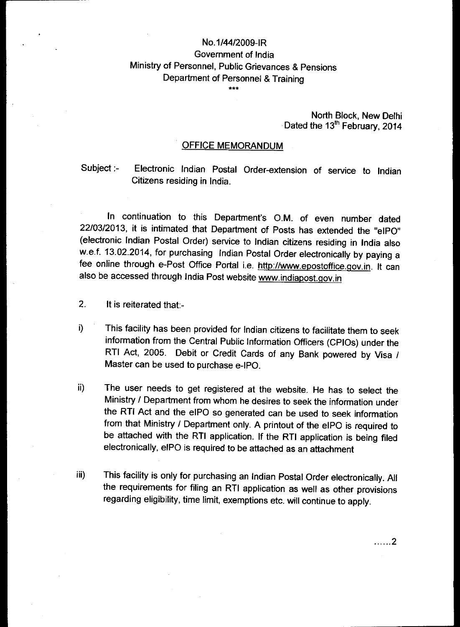## No.1/44/2009-IR Government of India Ministry of Personnel, Public Grievances & Pensions Department of Personnel & Training

\*\*\*

## North Block, New Delhi Dated the 13<sup>th</sup> February, 2014

## OFFICE MEMORANDUM

Subject :- Electronic Indian Postal Order-extension of service to Indian Citizens residing in India.

In continuation to this Department's O.M. of even number dated 22/03/2013, it is intimated that Department of Posts has extended the "elPO" (electronic Indian Postal Order) service to Indian citizens residing in India also w.e.f. 13.02.2014, for purchasing Indian Postal Order electronically by paying a fee online through e-Post Office Portal i.e. http://www.epostoffice.gov.in. It can also be accessed through India Post website www.indiapost.qov.in

- 2. It is reiterated that:-
- This facility has been provided for Indian citizens to facilitate them to seek i) information from the Central Public Information Officers (CPIOs) under the RTI Act, 2005. Debit or Credit Cards of any Bank powered by Visa / Master can be used to purchase e-IPO.
- ii) The user needs to get registered at the website. He has to select the Ministry / Department from whom he desires to seek the information under the RTI Act and the eIPO so generated can be used to seek information from that Ministry / Department only. A printout of the eIPO is required to be attached with the RTI application. If the RTI application is being filed electronically, eIPO is required to be attached as an attachment
- iii) This facility is only for purchasing an Indian Postal Order electronically. All the requirements for filing an RTI application as well as other provisions regarding eligibility, time limit, exemptions etc. will continue to apply.

. . . . . . 2